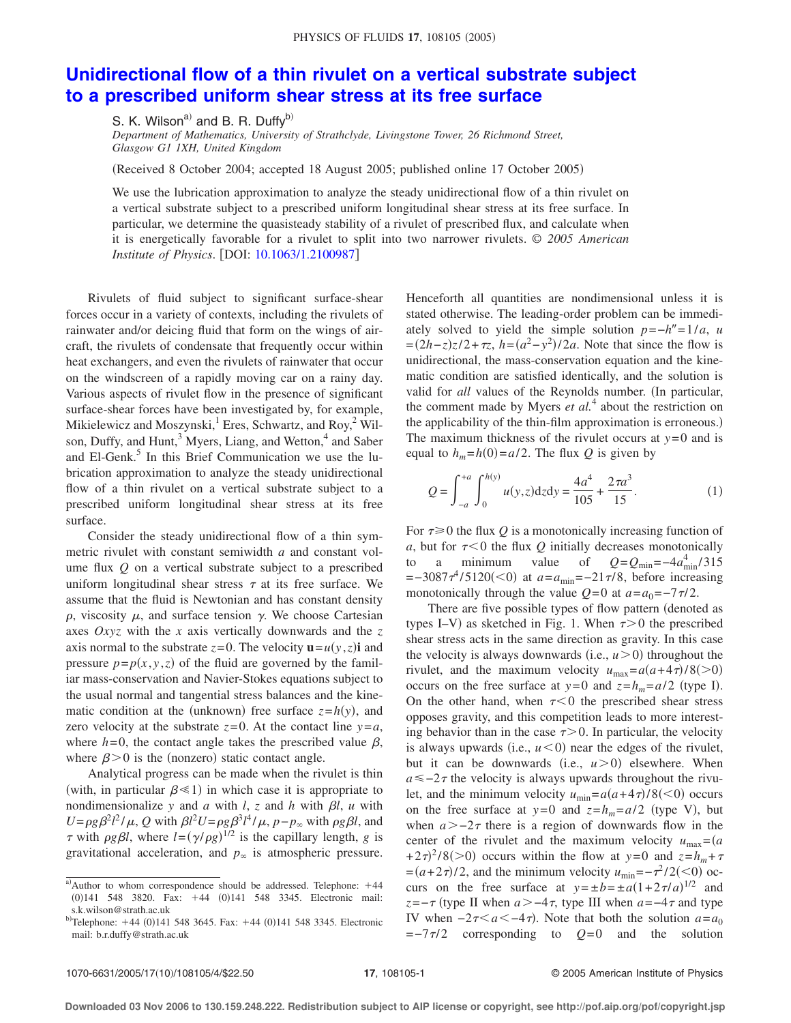## **[Unidirectional flow of a thin rivulet on a vertical substrate subject](http://dx.doi.org/10.1063/1.2100987) [to a prescribed uniform shear stress at its free surface](http://dx.doi.org/10.1063/1.2100987)**

S. K. Wilson<sup>a)</sup> and B. R. Duffy<sup>b)</sup> *Department of Mathematics, University of Strathclyde, Livingstone Tower, 26 Richmond Street, Glasgow G1 1XH, United Kingdom*

Received 8 October 2004; accepted 18 August 2005; published online 17 October 2005-

We use the lubrication approximation to analyze the steady unidirectional flow of a thin rivulet on a vertical substrate subject to a prescribed uniform longitudinal shear stress at its free surface. In particular, we determine the quasisteady stability of a rivulet of prescribed flux, and calculate when it is energetically favorable for a rivulet to split into two narrower rivulets. © *2005 American Institute of Physics.* [DOI: [10.1063/1.2100987](http://dx.doi.org/10.1063/1.2100987)]

Rivulets of fluid subject to significant surface-shear forces occur in a variety of contexts, including the rivulets of rainwater and/or deicing fluid that form on the wings of aircraft, the rivulets of condensate that frequently occur within heat exchangers, and even the rivulets of rainwater that occur on the windscreen of a rapidly moving car on a rainy day. Various aspects of rivulet flow in the presence of significant surface-shear forces have been investigated by, for example, Mikielewicz and Moszynski, <sup>1</sup> Eres, Schwartz, and Roy,<sup>2</sup> Wilson, Duffy, and Hunt,<sup>3</sup> Myers, Liang, and Wetton,<sup>4</sup> and Saber and El-Genk.<sup>5</sup> In this Brief Communication we use the lubrication approximation to analyze the steady unidirectional flow of a thin rivulet on a vertical substrate subject to a prescribed uniform longitudinal shear stress at its free surface.

Consider the steady unidirectional flow of a thin symmetric rivulet with constant semiwidth *a* and constant volume flux *Q* on a vertical substrate subject to a prescribed uniform longitudinal shear stress  $\tau$  at its free surface. We assume that the fluid is Newtonian and has constant density  $\rho$ , viscosity  $\mu$ , and surface tension  $\gamma$ . We choose Cartesian axes *Oxyz* with the *x* axis vertically downwards and the *z* axis normal to the substrate  $z=0$ . The velocity  $\mathbf{u}=u(y, z)\mathbf{i}$  and pressure  $p = p(x, y, z)$  of the fluid are governed by the familiar mass-conservation and Navier-Stokes equations subject to the usual normal and tangential stress balances and the kinematic condition at the (unknown) free surface  $z=h(y)$ , and zero velocity at the substrate  $z=0$ . At the contact line  $y=a$ , where  $h=0$ , the contact angle takes the prescribed value  $\beta$ , where  $\beta$  > 0 is the (nonzero) static contact angle.

Analytical progress can be made when the rivulet is thin (with, in particular  $\beta \ll 1$ ) in which case it is appropriate to nondimensionalize *y* and *a* with *l*, *z* and *h* with  $\beta$ *l*, *u* with  $U = \rho g \beta^2 l^2 / \mu$ , *Q* with  $\beta l^2 U = \rho g \beta^3 l^4 / \mu$ ,  $p - p_{\infty}$  with  $\rho g \beta l$ , and  $\tau$  with  $\rho g \beta l$ , where  $l = (\gamma/\rho g)^{1/2}$  is the capillary length, *g* is gravitational acceleration, and  $p_{\infty}$  is atmospheric pressure. Henceforth all quantities are nondimensional unless it is stated otherwise. The leading-order problem can be immediately solved to yield the simple solution  $p=-h''=1/a$ , *u*  $=(2h-z)z/2+\tau z$ ,  $h=(a^2-y^2)/2a$ . Note that since the flow is unidirectional, the mass-conservation equation and the kinematic condition are satisfied identically, and the solution is valid for *all* values of the Reynolds number. (In particular, the comment made by Myers *et al.*<sup>4</sup> about the restriction on the applicability of the thin-film approximation is erroneous.) The maximum thickness of the rivulet occurs at  $y=0$  and is equal to  $h_m = h(0) = a/2$ . The flux *Q* is given by

$$
Q = \int_{-a}^{+a} \int_{0}^{h(y)} u(y, z) dz dy = \frac{4a^4}{105} + \frac{2\pi a^3}{15}.
$$
 (1)

For  $\tau \geq 0$  the flux *Q* is a monotonically increasing function of *a*, but for  $\tau < 0$  the flux *Q* initially decreases monotonically to a minimum value of  $Q = Q_{\text{min}} = -4a_{\text{min}}^4/315$  $=-3087\tau^4/5120(<0)$  at  $a=a_{\text{min}}=-21\tau/8$ , before increasing monotonically through the value  $Q=0$  at  $a=a_0=-7\tau/2$ .

There are five possible types of flow pattern (denoted as types I–V) as sketched in Fig. 1. When  $\tau > 0$  the prescribed shear stress acts in the same direction as gravity. In this case the velocity is always downwards (i.e.,  $u > 0$ ) throughout the rivulet, and the maximum velocity  $u_{\text{max}} = a(a+4\tau)/8 (>0)$ occurs on the free surface at  $y=0$  and  $z=h_m=a/2$  (type I). On the other hand, when  $\tau < 0$  the prescribed shear stress opposes gravity, and this competition leads to more interesting behavior than in the case  $\tau > 0$ . In particular, the velocity is always upwards (i.e.,  $u < 0$ ) near the edges of the rivulet, but it can be downwards (i.e.,  $u > 0$ ) elsewhere. When  $a \le -2\tau$  the velocity is always upwards throughout the rivulet, and the minimum velocity  $u_{\text{min}} = a(a+4\tau)/8 \le 0$  occurs on the free surface at  $y=0$  and  $z=h_m=a/2$  (type V), but when  $a > -2\tau$  there is a region of downwards flow in the center of the rivulet and the maximum velocity  $u_{\text{max}} = (a$  $(1+2\tau)^2/8$ (>0) occurs within the flow at *y*=0 and *z*=*h<sub>m</sub>*+ $\tau$  $=(a+2\tau)/2$ , and the minimum velocity  $u_{\text{min}}=-\tau^2/2(<0)$  occurs on the free surface at  $y = \pm b = \pm a(1 + 2\tau/a)^{1/2}$  and *z*=− $\tau$  (type II when *a* > −4 $\tau$ , type III when *a* = −4 $\tau$  and type IV when  $-2\tau < a < -4\tau$ ). Note that both the solution  $a = a_0$  $=-7\tau/2$  corresponding to  $Q=0$  and the solution

 $a^2$ Author to whom correspondence should be addressed. Telephone:  $+44$  $(0)$ 141 548 3820. Fax:  $+44$   $(0)$ 141 548 3345. Electronic mail: s.k.wilson@strath.ac.uk

 $b^{\text{th}}$ Telephone: +44 (0)141 548 3645. Fax: +44 (0)141 548 3345. Electronic mail: b.r.duffy@strath.ac.uk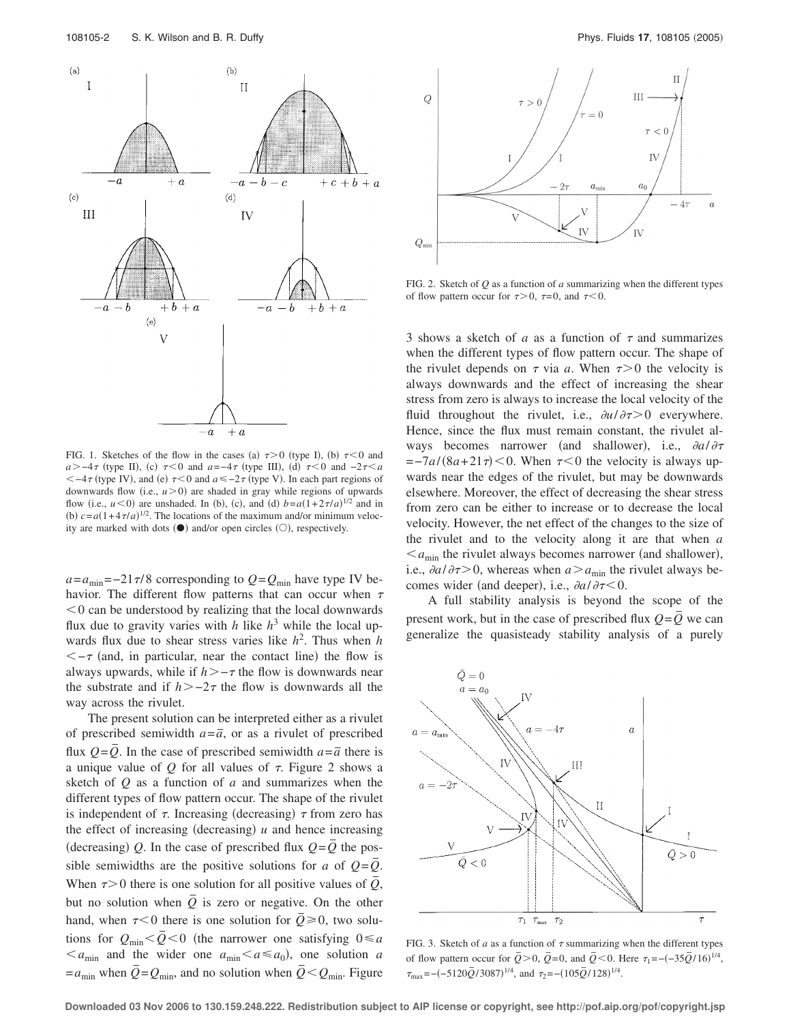

FIG. 1. Sketches of the flow in the cases (a)  $\tau > 0$  (type I), (b)  $\tau < 0$  and  $a > -4\tau$  (type II), (c)  $\tau < 0$  and  $a = -4\tau$  (type III), (d)  $\tau < 0$  and  $-2\tau < a$  $<-4\tau$  (type IV), and (e)  $\tau$  < 0 and  $a \le -2\tau$  (type V). In each part regions of downwards flow  $(i.e.,  $u>0$ ) are shaded in gray while regions of upwards$ flow (i.e.,  $u < 0$ ) are unshaded. In (b), (c), and (d)  $b = a(1 + 2\tau/a)^{1/2}$  and in (b)  $c = a(1 + 4\tau/a)^{1/2}$ . The locations of the maximum and/or minimum velocity are marked with dots  $(①)$  and/or open circles  $(①)$ , respectively.

 $a = a_{\text{min}} = -21\pi/8$  corresponding to  $Q = Q_{\text{min}}$  have type IV behavior. The different flow patterns that can occur when  $\tau$  $0$  can be understood by realizing that the local downwards flux due to gravity varies with  $h$  like  $h^3$  while the local upwards flux due to shear stress varies like *h* 2 . Thus when *h*  $\lt$  –  $\tau$  (and, in particular, near the contact line) the flow is always upwards, while if  $h > -\tau$  the flow is downwards near the substrate and if  $h > -2\tau$  the flow is downwards all the way across the rivulet.

The present solution can be interpreted either as a rivulet of prescribed semiwidth  $a = \overline{a}$ , or as a rivulet of prescribed flux  $Q = \overline{Q}$ . In the case of prescribed semiwidth  $a = \overline{a}$  there is a unique value of  $O$  for all values of  $\tau$ . Figure 2 shows a sketch of *Q* as a function of *a* and summarizes when the different types of flow pattern occur. The shape of the rivulet is independent of  $\tau$ . Increasing (decreasing)  $\tau$  from zero has the effect of increasing (decreasing)  $u$  and hence increasing (decreasing) Q. In the case of prescribed flux  $Q = \overline{Q}$  the possible semiwidths are the positive solutions for *a* of  $Q = \overline{Q}$ . When  $\tau > 0$  there is one solution for all positive values of  $\overline{Q}$ , but no solution when  $\overline{Q}$  is zero or negative. On the other hand, when  $\tau$ <0 there is one solution for  $\overline{Q} \ge 0$ , two solutions for  $Q_{\text{min}} < \bar{Q} < 0$  (the narrower one satisfying  $0 \le a$  $\langle a_{\text{min}} \rangle$  and the wider one  $a_{\text{min}} \langle a \leq a_0 \rangle$ , one solution *a*  $= a_{\text{min}}$  when  $\overline{Q} = Q_{\text{min}}$ , and no solution when  $\overline{Q} < Q_{\text{min}}$ . Figure



FIG. 2. Sketch of *Q* as a function of *a* summarizing when the different types of flow pattern occur for  $\tau > 0$ ,  $\tau = 0$ , and  $\tau < 0$ .

3 shows a sketch of  $a$  as a function of  $\tau$  and summarizes when the different types of flow pattern occur. The shape of the rivulet depends on  $\tau$  via *a*. When  $\tau > 0$  the velocity is always downwards and the effect of increasing the shear stress from zero is always to increase the local velocity of the fluid throughout the rivulet, i.e.,  $\partial u / \partial \tau > 0$  everywhere. Hence, since the flux must remain constant, the rivulet always becomes narrower (and shallower), i.e.,  $\partial a/\partial \tau$  $=-7a/(8a+21\tau)$  < 0. When  $\tau$  < 0 the velocity is always upwards near the edges of the rivulet, but may be downwards elsewhere. Moreover, the effect of decreasing the shear stress from zero can be either to increase or to decrease the local velocity. However, the net effect of the changes to the size of the rivulet and to the velocity along it are that when *a*  $\leq a_{\text{min}}$  the rivulet always becomes narrower (and shallower), i.e.,  $\partial a / \partial \tau > 0$ , whereas when  $a > a_{\min}$  the rivulet always becomes wider (and deeper), i.e.,  $\partial a / \partial \tau \leq 0$ .

A full stability analysis is beyond the scope of the present work, but in the case of prescribed flux  $Q = \overline{Q}$  we can generalize the quasisteady stability analysis of a purely



FIG. 3. Sketch of  $a$  as a function of  $\tau$  summarizing when the different types of flow pattern occur for  $\overline{Q} > 0$ ,  $\overline{Q} = 0$ , and  $\overline{Q} < 0$ . Here  $\tau_1 = -(-35\overline{Q}/16)^{1/4}$ ,  $\tau_{\text{max}} = -(-5120\bar{Q}/3087)^{1/4}$ , and  $\tau_2 = -(105\bar{Q}/128)^{1/4}$ .

**Downloaded 03 Nov 2006 to 130.159.248.222. Redistribution subject to AIP license or copyright, see http://pof.aip.org/pof/copyright.jsp**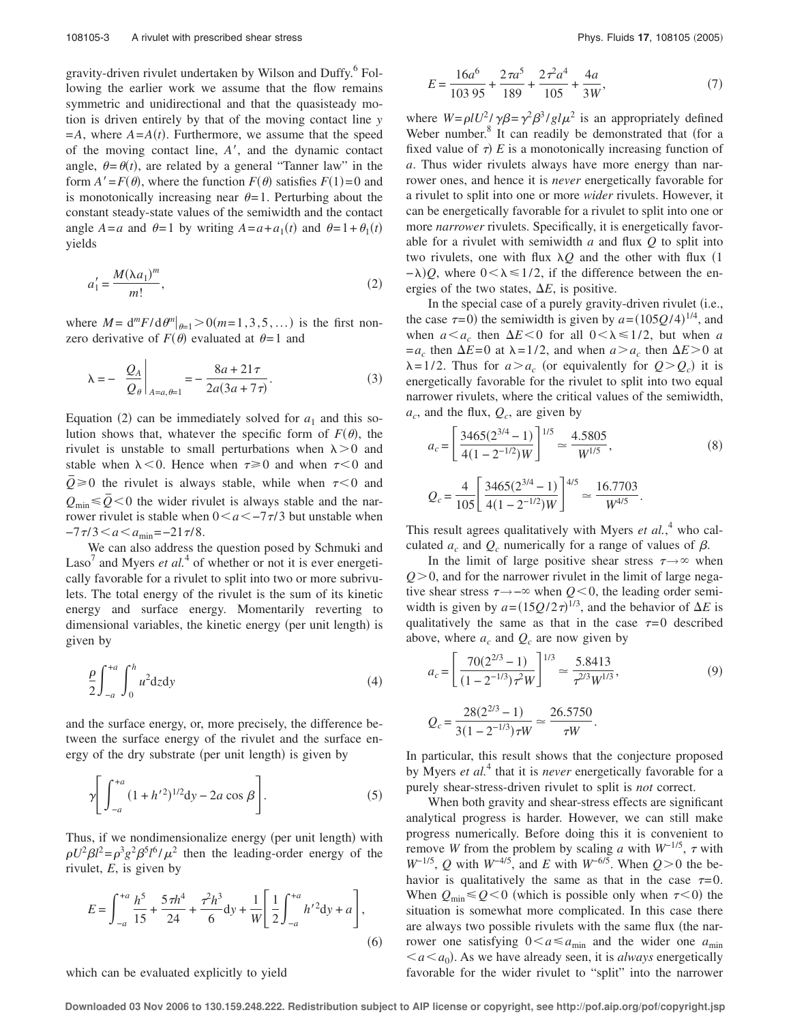gravity-driven rivulet undertaken by Wilson and Duffy.<sup>6</sup> Following the earlier work we assume that the flow remains symmetric and unidirectional and that the quasisteady motion is driven entirely by that of the moving contact line *y*  $=A$ , where  $A = A(t)$ . Furthermore, we assume that the speed of the moving contact line, *A*-, and the dynamic contact angle,  $\theta = \theta(t)$ , are related by a general "Tanner law" in the form  $A' = F(\theta)$ , where the function  $F(\theta)$  satisfies  $F(1) = 0$  and is monotonically increasing near  $\theta = 1$ . Perturbing about the constant steady-state values of the semiwidth and the contact angle  $A = a$  and  $\theta = 1$  by writing  $A = a + a_1(t)$  and  $\theta = 1 + \theta_1(t)$ yields

$$
a_1' = \frac{M(\lambda a_1)^m}{m!},\tag{2}
$$

where  $M = d^m F/d\theta^m|_{\theta=1} > 0$  (*m*=1,3,5,...) is the first nonzero derivative of  $F(\theta)$  evaluated at  $\theta = 1$  and

$$
\lambda = -\frac{Q_A}{Q_\theta}\bigg|_{A=a,\theta=1} = -\frac{8a + 21\tau}{2a(3a + 7\tau)}.
$$
 (3)

Equation (2) can be immediately solved for  $a_1$  and this solution shows that, whatever the specific form of  $F(\theta)$ , the rivulet is unstable to small perturbations when  $\lambda > 0$  and stable when  $\lambda < 0$ . Hence when  $\tau \ge 0$  and when  $\tau < 0$  and  $\overline{Q} \ge 0$  the rivulet is always stable, while when  $\tau < 0$  and  $Q_{\text{min}} \leq \bar{Q} < 0$  the wider rivulet is always stable and the narrower rivulet is stable when  $0 \le a \le -7\tau/3$  but unstable when  $-7\tau/3 < a < a_{\min} = -21\tau/8.$ 

We can also address the question posed by Schmuki and Laso<sup>7</sup> and Myers *et al.*<sup>4</sup> of whether or not it is ever energetically favorable for a rivulet to split into two or more subrivulets. The total energy of the rivulet is the sum of its kinetic energy and surface energy. Momentarily reverting to dimensional variables, the kinetic energy (per unit length) is given by

$$
\frac{\rho}{2} \int_{-a}^{+a} \int_{0}^{h} u^2 \mathrm{d}z \mathrm{d}y \tag{4}
$$

and the surface energy, or, more precisely, the difference between the surface energy of the rivulet and the surface energy of the dry substrate (per unit length) is given by

$$
\gamma \left[ \int_{-a}^{+a} (1 + h'^2)^{1/2} dy - 2a \cos \beta \right].
$$
 (5)

Thus, if we nondimensionalize energy (per unit length) with  $\rho U^2 \beta l^2 = \rho^3 g^2 \beta^5 l^6 / \mu^2$  then the leading-order energy of the rivulet, *E*, is given by

$$
E = \int_{-a}^{+a} \frac{h^5}{15} + \frac{5\pi h^4}{24} + \frac{\tau^2 h^3}{6} dy + \frac{1}{W} \left[ \frac{1}{2} \int_{-a}^{+a} h'^2 dy + a \right],\tag{6}
$$

which can be evaluated explicitly to yield

$$
E = \frac{16a^6}{103\ 95} + \frac{2\pi a^5}{189} + \frac{2\tau^2 a^4}{105} + \frac{4a}{3W},\tag{7}
$$

where  $W = \rho l U^2 / \gamma \beta = \gamma^2 \beta^3 / g l \mu^2$  is an appropriately defined Weber number.<sup>8</sup> It can readily be demonstrated that (for a fixed value of  $\tau$ )  $E$  is a monotonically increasing function of *a*. Thus wider rivulets always have more energy than narrower ones, and hence it is *never* energetically favorable for a rivulet to split into one or more *wider* rivulets. However, it can be energetically favorable for a rivulet to split into one or more *narrower* rivulets. Specifically, it is energetically favorable for a rivulet with semiwidth *a* and flux *Q* to split into two rivulets, one with flux  $\lambda Q$  and the other with flux (1)  $-\lambda$ )Q, where  $0 < \lambda \le 1/2$ , if the difference between the energies of the two states,  $\Delta E$ , is positive.

In the special case of a purely gravity-driven rivulet (i.e., the case  $\tau$ =0) the semiwidth is given by  $a = (105Q/4)^{1/4}$ , and when  $a \le a_c$  then  $\Delta E \le 0$  for all  $0 \le \lambda \le 1/2$ , but when *a*  $=a_c$  then  $\Delta E=0$  at  $\lambda =1/2$ , and when  $a > a_c$  then  $\Delta E>0$  at  $\lambda = 1/2$ . Thus for  $a > a_c$  (or equivalently for  $Q > Q_c$ ) it is energetically favorable for the rivulet to split into two equal narrower rivulets, where the critical values of the semiwidth,  $a_c$ , and the flux,  $Q_c$ , are given by

$$
a_c = \left[\frac{3465(2^{3/4} - 1)}{4(1 - 2^{-1/2})W}\right]^{1/5} \approx \frac{4.5805}{W^{1/5}},
$$
\n
$$
Q_c = \frac{4}{105} \left[\frac{3465(2^{3/4} - 1)}{4(1 - 2^{-1/2})W}\right]^{4/5} \approx \frac{16.7703}{W^{4/5}}.
$$
\n(8)

This result agrees qualitatively with Myers *et al.*,<sup>4</sup> who calculated  $a_c$  and  $Q_c$  numerically for a range of values of  $\beta$ .

In the limit of large positive shear stress  $\tau \rightarrow \infty$  when  $Q > 0$ , and for the narrower rivulet in the limit of large negative shear stress  $\tau \rightarrow -\infty$  when  $Q \le 0$ , the leading order semiwidth is given by  $a = (15Q/2\tau)^{1/3}$ , and the behavior of  $\Delta E$  is qualitatively the same as that in the case  $\tau=0$  described above, where  $a_c$  and  $Q_c$  are now given by

$$
a_c = \left[\frac{70(2^{2/3} - 1)}{(1 - 2^{-1/3})\tau^2 W}\right]^{1/3} \approx \frac{5.8413}{\tau^{2/3} W^{1/3}},\tag{9}
$$

.

$$
Q_c = \frac{28(2^{2/3} - 1)}{3(1 - 2^{-1/3})\tau W} \simeq \frac{26.5750}{\tau W}
$$

In particular, this result shows that the conjecture proposed by Myers *et al.*<sup>4</sup> that it is *never* energetically favorable for a purely shear-stress-driven rivulet to split is *not* correct.

When both gravity and shear-stress effects are significant analytical progress is harder. However, we can still make progress numerically. Before doing this it is convenient to remove *W* from the problem by scaling *a* with  $W^{-1/5}$ ,  $\tau$  with  $W^{-1/5}$ , *Q* with  $W^{-4/5}$ , and *E* with  $W^{-6/5}$ . When  $Q>0$  the behavior is qualitatively the same as that in the case  $\tau=0$ . When  $Q_{\text{min}} \leq Q \leq 0$  (which is possible only when  $\tau \leq 0$ ) the situation is somewhat more complicated. In this case there are always two possible rivulets with the same flux (the narrower one satisfying  $0 < a \le a_{\text{min}}$  and the wider one  $a_{\text{min}}$  $\leq a \leq a_0$ ). As we have already seen, it is *always* energetically favorable for the wider rivulet to "split" into the narrower

**Downloaded 03 Nov 2006 to 130.159.248.222. Redistribution subject to AIP license or copyright, see http://pof.aip.org/pof/copyright.jsp**